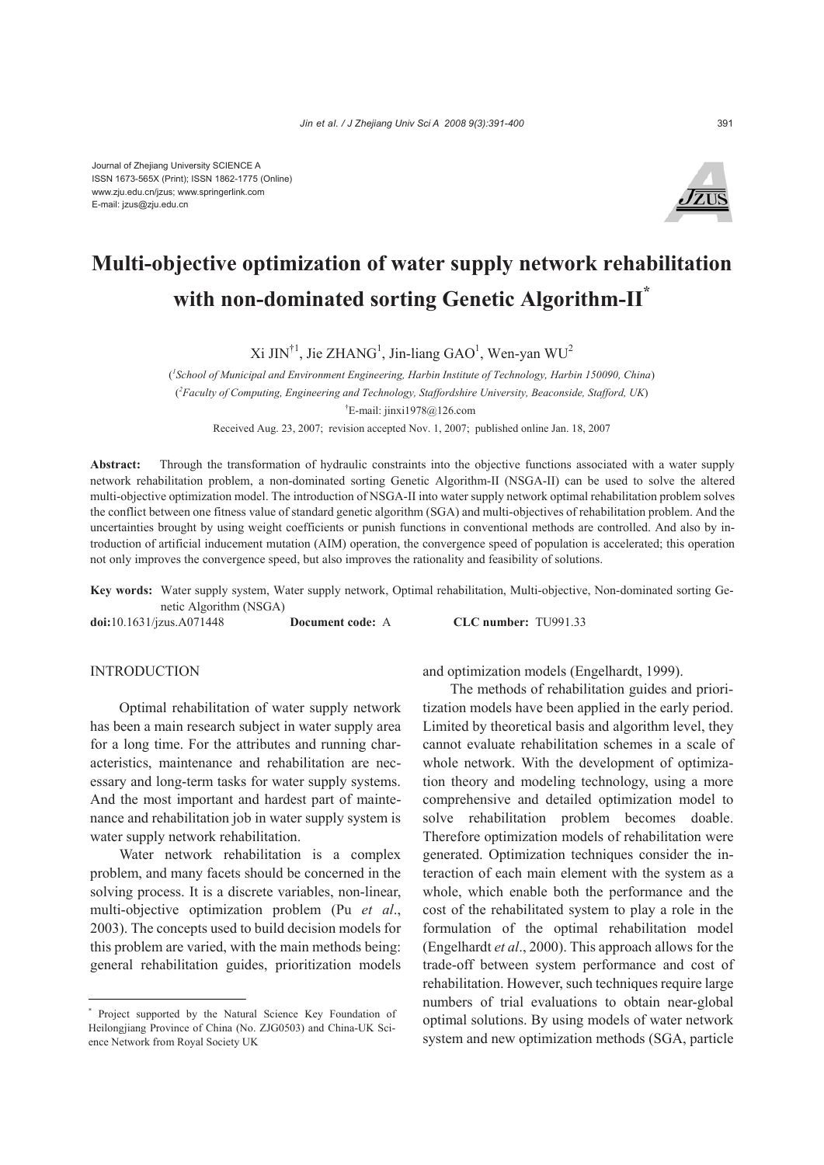

# **Multi-objective optimization of water supply network rehabilitation with non-dominated sorting Genetic Algorithm-II\***

 $Xi$  JIN<sup>†1</sup>, Jie ZHANG<sup>1</sup>, Jin-liang GAO<sup>1</sup>, Wen-yan WU<sup>2</sup>

( *1 School of Municipal and Environment Engineering, Harbin Institute of Technology, Harbin 150090, China*) ( *2 Faculty of Computing, Engineering and Technology, Staffordshire University, Beaconside, Stafford, UK*) † E-mail: jinxi1978@126.com Received Aug. 23, 2007; revision accepted Nov. 1, 2007; published online Jan. 18, 2007

**Abstract:** Through the transformation of hydraulic constraints into the objective functions associated with a water supply network rehabilitation problem, a non-dominated sorting Genetic Algorithm-II (NSGA-II) can be used to solve the altered multi-objective optimization model. The introduction of NSGA-II into water supply network optimal rehabilitation problem solves the conflict between one fitness value of standard genetic algorithm (SGA) and multi-objectives of rehabilitation problem. And the uncertainties brought by using weight coefficients or punish functions in conventional methods are controlled. And also by introduction of artificial inducement mutation (AIM) operation, the convergence speed of population is accelerated; this operation not only improves the convergence speed, but also improves the rationality and feasibility of solutions.

**Key words:** Water supply system, Water supply network, Optimal rehabilitation, Multi-objective, Non-dominated sorting Genetic Algorithm (NSGA)

**doi:**10.1631/jzus.A071448 **Document code:** A **CLC number:** TU991.33

# INTRODUCTION

Optimal rehabilitation of water supply network has been a main research subject in water supply area for a long time. For the attributes and running characteristics, maintenance and rehabilitation are necessary and long-term tasks for water supply systems. And the most important and hardest part of maintenance and rehabilitation job in water supply system is water supply network rehabilitation.

Water network rehabilitation is a complex problem, and many facets should be concerned in the solving process. It is a discrete variables, non-linear, multi-objective optimization problem (Pu *et al*., 2003). The concepts used to build decision models for this problem are varied, with the main methods being: general rehabilitation guides, prioritization models

and optimization models (Engelhardt, 1999).

The methods of rehabilitation guides and prioritization models have been applied in the early period. Limited by theoretical basis and algorithm level, they cannot evaluate rehabilitation schemes in a scale of whole network. With the development of optimization theory and modeling technology, using a more comprehensive and detailed optimization model to solve rehabilitation problem becomes doable. Therefore optimization models of rehabilitation were generated. Optimization techniques consider the interaction of each main element with the system as a whole, which enable both the performance and the cost of the rehabilitated system to play a role in the formulation of the optimal rehabilitation model (Engelhardt *et al*., 2000). This approach allows for the trade-off between system performance and cost of rehabilitation. However, such techniques require large numbers of trial evaluations to obtain near-global optimal solutions. By using models of water network system and new optimization methods (SGA, particle

<sup>\*</sup> Project supported by the Natural Science Key Foundation of Heilongjiang Province of China (No. ZJG0503) and China-UK Science Network from Royal Society UK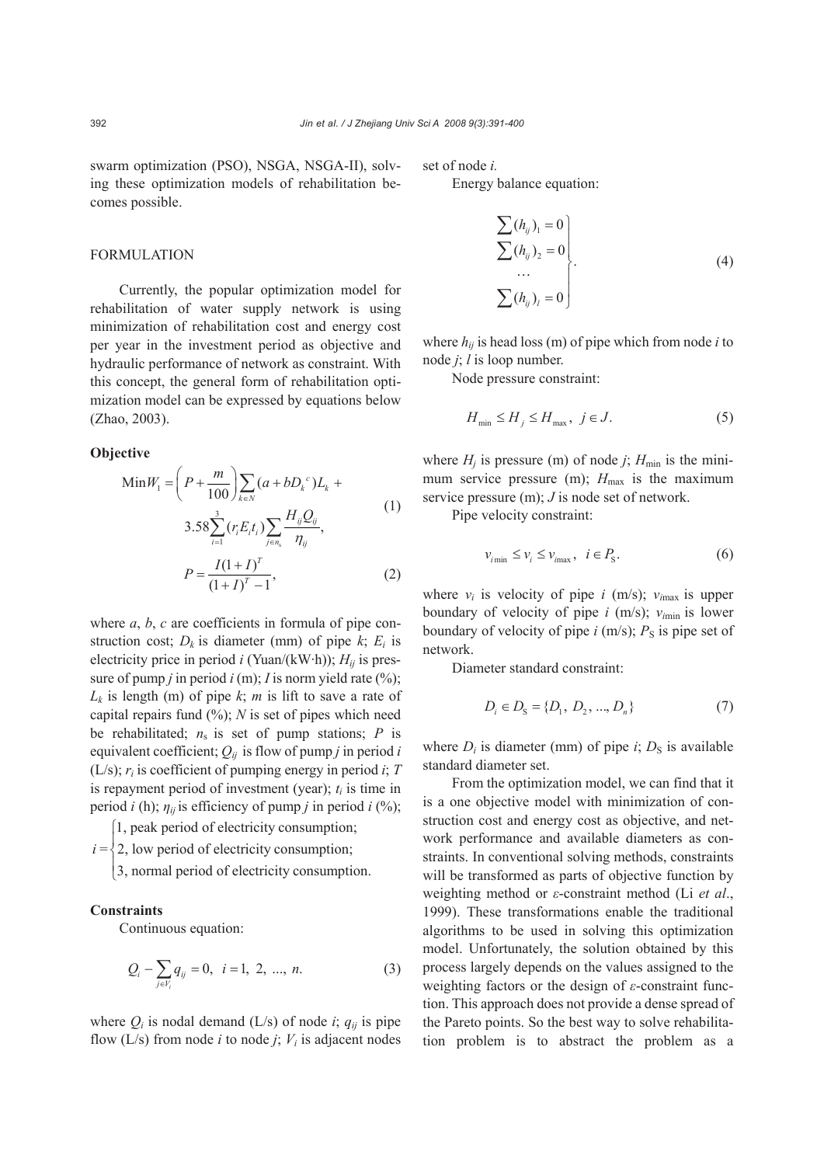swarm optimization (PSO), NSGA, NSGA-II), solving these optimization models of rehabilitation becomes possible.

## **FORMULATION**

Currently, the popular optimization model for rehabilitation of water supply network is using minimization of rehabilitation cost and energy cost per year in the investment period as objective and hydraulic performance of network as constraint. With this concept, the general form of rehabilitation optimization model can be expressed by equations below (Zhao, 2003).

## **Objective**

$$
\begin{aligned}\n\text{Min}\,W_1 &= \left(P + \frac{m}{100}\right) \sum_{k \in N} \left(a + bD_k^c\right) L_k + \\
&3.58 \sum_{i=1}^3 \left(r_i E_i t_i\right) \sum_{j \in n_s} \frac{H_{ij} Q_{ij}}{\eta_{ij}}, \\
P &= \frac{I(1+I)^T}{(1+I)^T - 1},\n\end{aligned} \tag{1}
$$

where *a*, *b*, *c* are coefficients in formula of pipe construction cost;  $D_k$  is diameter (mm) of pipe  $k$ ;  $E_i$  is electricity price in period *i* (Yuan/(kW·h)); *Hij* is pressure of pump *j* in period *i* (m); *I* is norm yield rate (%);  $L_k$  is length (m) of pipe  $k$ ; *m* is lift to save a rate of capital repairs fund (%); *N* is set of pipes which need be rehabilitated;  $n_s$  is set of pump stations;  $P$  is equivalent coefficient;  $Q_{ii}$  is flow of pump *j* in period *i* (L/s); *ri* is coefficient of pumping energy in period *i*; *T* is repayment period of investment (year);  $t_i$  is time in period *i* (h);  $\eta_{ij}$  is efficiency of pump *j* in period *i* (%);

- 1, peak period of electricity consumption; ⎧
- $i = \begin{cases} 2, & \text{if } i \neq j \\ 2, & \text{if } i \neq j \end{cases}$  revious of electricity consumption;

3, normal period of electricity consumption. ⎪ ⎩

# **Constraints**

Continuous equation:

$$
Q_i - \sum_{j \in V_i} q_{ij} = 0, \ \ i = 1, \ 2, \ ..., \ n.
$$
 (3)

where  $Q_i$  is nodal demand (L/s) of node *i*;  $q_{ii}$  is pipe flow  $(L/s)$  from node *i* to node *j*;  $V_i$  is adjacent nodes set of node *i.*

Energy balance equation:

$$
\Sigma (h_{ij})_1 = 0
$$
\n
$$
\Sigma (h_{ij})_2 = 0
$$
\n
$$
\dots
$$
\n
$$
\Sigma (h_{ij})_l = 0
$$
\n(4)

where  $h_{ij}$  is head loss (m) of pipe which from node *i* to node *j*; *l* is loop number.

Node pressure constraint:

$$
H_{\min} \le H_j \le H_{\max}, \ j \in J. \tag{5}
$$

where  $H_i$  is pressure (m) of node *j*;  $H_{min}$  is the minimum service pressure (m);  $H_{\text{max}}$  is the maximum service pressure (m); *J* is node set of network.

Pipe velocity constraint:

 $v_{i_{\text{min}}} \le v_i \le v_{i_{\text{max}}}$ ,  $i \in P_{\text{s}}$ . (6)

where  $v_i$  is velocity of pipe *i* (m/s);  $v_{imax}$  is upper boundary of velocity of pipe  $i$  (m/s);  $v_{\text{min}}$  is lower boundary of velocity of pipe  $i$  (m/s);  $P_S$  is pipe set of network.

Diameter standard constraint:

$$
D_i \in D_S = \{D_1, D_2, ..., D_n\}
$$
 (7)

where  $D_i$  is diameter (mm) of pipe *i*;  $D_S$  is available standard diameter set.

From the optimization model, we can find that it is a one objective model with minimization of construction cost and energy cost as objective, and network performance and available diameters as constraints. In conventional solving methods, constraints will be transformed as parts of objective function by weighting method or *ε*-constraint method (Li *et al*., 1999). These transformations enable the traditional algorithms to be used in solving this optimization model. Unfortunately, the solution obtained by this process largely depends on the values assigned to the weighting factors or the design of *ε*-constraint function. This approach does not provide a dense spread of the Pareto points. So the best way to solve rehabilitation problem is to abstract the problem as a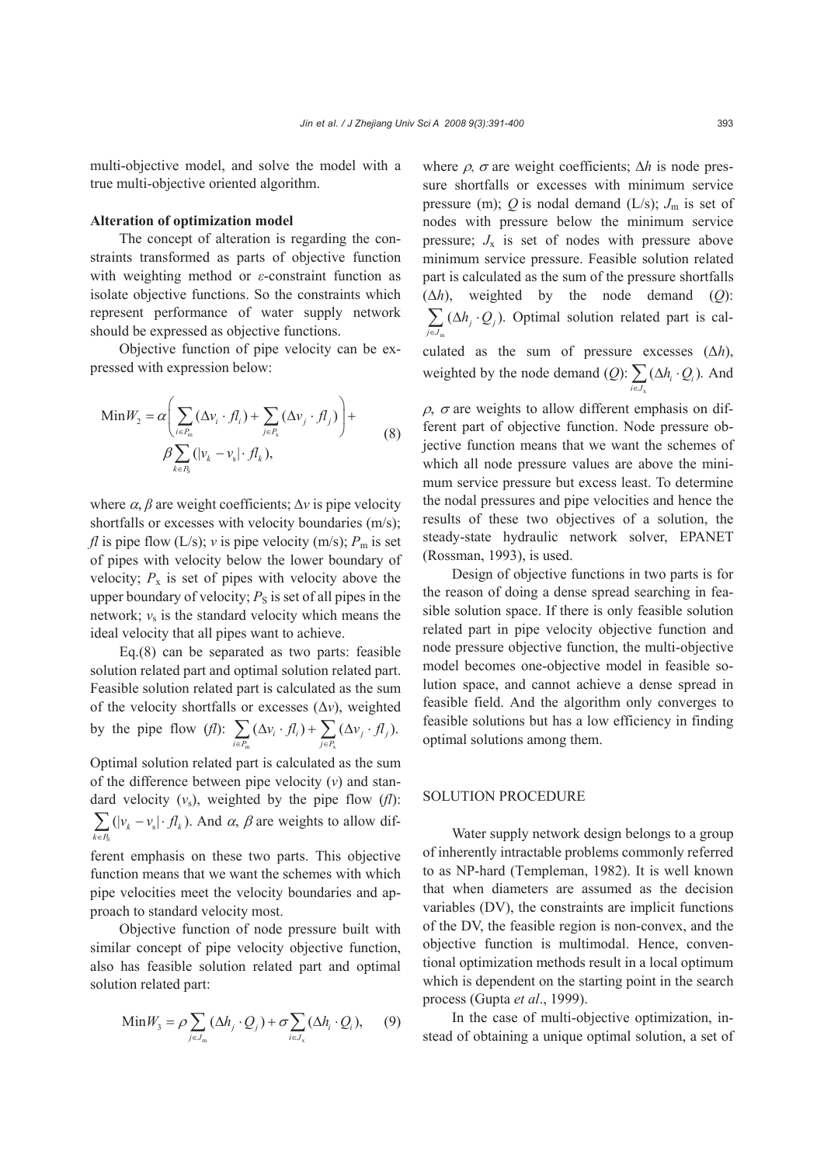multi-objective model, and solve the model with a true multi-objective oriented algorithm.

## **Alteration of optimization model**

The concept of alteration is regarding the constraints transformed as parts of objective function with weighting method or *ε*-constraint function as isolate objective functions. So the constraints which represent performance of water supply network should be expressed as objective functions.

Objective function of pipe velocity can be expressed with expression below:

$$
\begin{aligned} \text{Min} W_2 &= \alpha \Bigg( \sum_{i \in P_{\text{in}}} (\Delta v_i \cdot f l_i) + \sum_{j \in P_{\text{x}}} (\Delta v_j \cdot f l_j) \Bigg) + \\ &\beta \sum_{k \in P_{\text{s}}} (|v_k - v_{\text{s}}| \cdot f l_k), \end{aligned} \tag{8}
$$

where  $\alpha$ ,  $\beta$  are weight coefficients;  $\Delta v$  is pipe velocity shortfalls or excesses with velocity boundaries (m/s); *fl* is pipe flow  $(L/s)$ ; *v* is pipe velocity  $(m/s)$ ;  $P_m$  is set of pipes with velocity below the lower boundary of velocity;  $P_x$  is set of pipes with velocity above the upper boundary of velocity;  $P<sub>S</sub>$  is set of all pipes in the network;  $v_s$  is the standard velocity which means the ideal velocity that all pipes want to achieve.

Eq.(8) can be separated as two parts: feasible solution related part and optimal solution related part. Feasible solution related part is calculated as the sum of the velocity shortfalls or excesses (Δ*v*), weighted by the pipe flow (*fl*): m  $J \in F_X$  $\sum_{i\in P_m} (\Delta v_i \cdot fl_i) + \sum_{j\in P_x} (\Delta v_j \cdot fl_j).$  $v_i \cdot fl_i$ ) +  $\sum (\Delta v_i \cdot fl_i)$  $\sum_{i\in P_m} (\Delta v_i \cdot f l_i) + \sum_{j\in P_v} (\Delta v_j \cdot$ 

Optimal solution related part is calculated as the sum of the difference between pipe velocity (*v*) and standard velocity  $(v_s)$ , weighted by the pipe flow  $(f<sup>I</sup>)$ : S  $\sum_{k \in P_{\rm s}} (|v_k - v_{\rm s}| \cdot f l_k).$  $v_{k} - v_{s}$   $\cdot$  *fl*  $\sum_{k \in R} (|v_k - v_s| \cdot f l_k)$ . And  $\alpha$ ,  $\beta$  are weights to allow dif-

ferent emphasis on these two parts. This objective function means that we want the schemes with which pipe velocities meet the velocity boundaries and approach to standard velocity most.

Objective function of node pressure built with similar concept of pipe velocity objective function, also has feasible solution related part and optimal solution related part:

$$
\text{Min} W_3 = \rho \sum_{j \in J_{\text{m}}} (\Delta h_j \cdot Q_j) + \sigma \sum_{i \in J_{\text{x}}} (\Delta h_i \cdot Q_i), \qquad (9)
$$

where  $\rho$ ,  $\sigma$  are weight coefficients;  $\Delta h$  is node pressure shortfalls or excesses with minimum service pressure (m);  $Q$  is nodal demand (L/s);  $J_m$  is set of nodes with pressure below the minimum service pressure;  $J_x$  is set of nodes with pressure above minimum service pressure. Feasible solution related part is calculated as the sum of the pressure shortfalls (Δ*h*), weighted by the node demand (*Q*): m  $\sum_{j\in J_m} (\Delta h_j \cdot Q_j).$  $h_i \cdot Q$  $\sum_{j \in J_m} (\Delta h_j \cdot Q_j)$ . Optimal solution related part is cal-

culated as the sum of pressure excesses (Δ*h*), weighted by the node demand (*Q*): x  $\sum_{i\in J_{\rm v}} (\Delta h_i \cdot Q_i)$ .  $h_i \cdot Q$  $\sum_{i \in J_{\rm v}} (\Delta h_i \cdot Q_i)$ . And

 $\rho$ ,  $\sigma$  are weights to allow different emphasis on different part of objective function. Node pressure objective function means that we want the schemes of which all node pressure values are above the minimum service pressure but excess least. To determine the nodal pressures and pipe velocities and hence the results of these two objectives of a solution, the steady-state hydraulic network solver, EPANET (Rossman, 1993), is used.

Design of objective functions in two parts is for the reason of doing a dense spread searching in feasible solution space. If there is only feasible solution related part in pipe velocity objective function and node pressure objective function, the multi-objective model becomes one-objective model in feasible solution space, and cannot achieve a dense spread in feasible field. And the algorithm only converges to feasible solutions but has a low efficiency in finding optimal solutions among them.

# SOLUTION PROCEDURE

Water supply network design belongs to a group of inherently intractable problems commonly referred to as NP-hard (Templeman, 1982). It is well known that when diameters are assumed as the decision variables (DV), the constraints are implicit functions of the DV, the feasible region is non-convex, and the objective function is multimodal. Hence, conventional optimization methods result in a local optimum which is dependent on the starting point in the search process (Gupta *et al*., 1999).

In the case of multi-objective optimization, instead of obtaining a unique optimal solution, a set of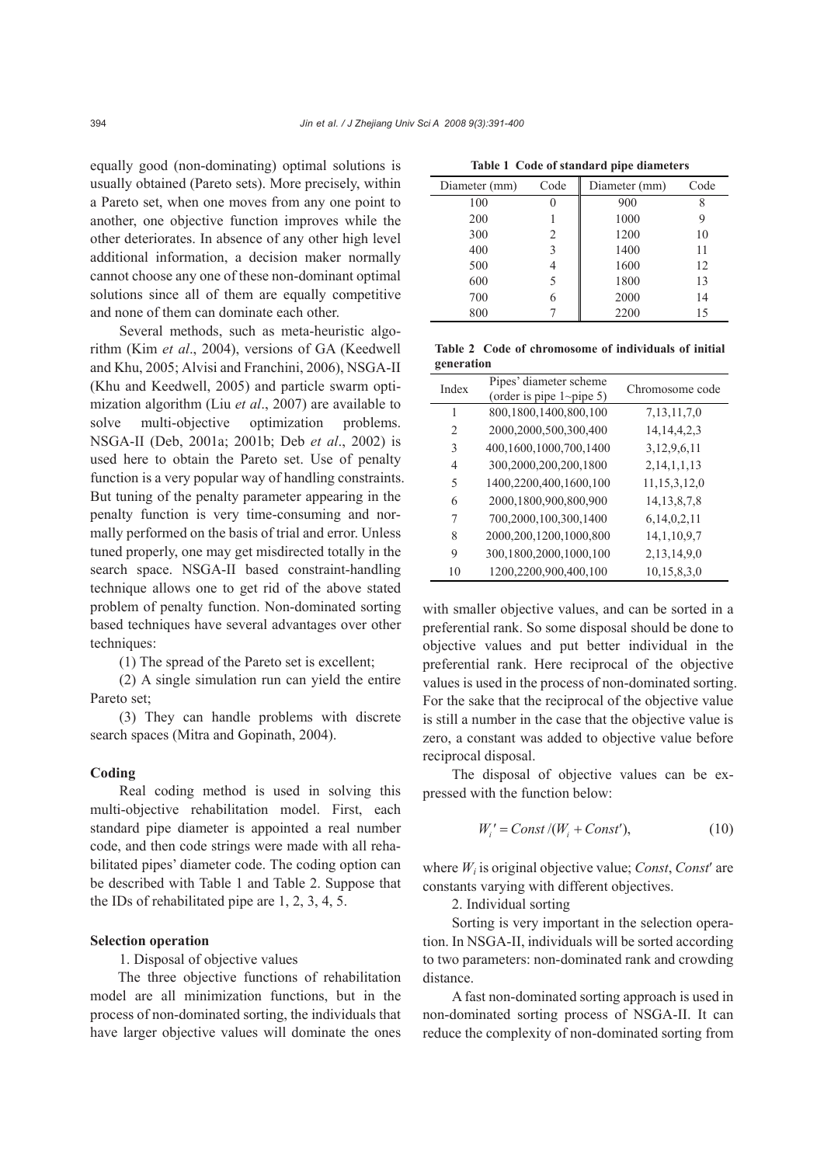equally good (non-dominating) optimal solutions is usually obtained (Pareto sets). More precisely, within a Pareto set, when one moves from any one point to another, one objective function improves while the other deteriorates. In absence of any other high level additional information, a decision maker normally cannot choose any one of these non-dominant optimal solutions since all of them are equally competitive and none of them can dominate each other.

Several methods, such as meta-heuristic algorithm (Kim *et al*., 2004), versions of GA (Keedwell and Khu, 2005; Alvisi and Franchini, 2006), NSGA-II (Khu and Keedwell, 2005) and particle swarm optimization algorithm (Liu *et al*., 2007) are available to solve multi-objective optimization problems. NSGA-II (Deb, 2001a; 2001b; Deb *et al*., 2002) is used here to obtain the Pareto set. Use of penalty function is a very popular way of handling constraints. But tuning of the penalty parameter appearing in the penalty function is very time-consuming and normally performed on the basis of trial and error. Unless tuned properly, one may get misdirected totally in the search space. NSGA-II based constraint-handling technique allows one to get rid of the above stated problem of penalty function. Non-dominated sorting based techniques have several advantages over other techniques:

(1) The spread of the Pareto set is excellent;

(2) A single simulation run can yield the entire Pareto set;

(3) They can handle problems with discrete search spaces (Mitra and Gopinath, 2004).

#### **Coding**

Real coding method is used in solving this multi-objective rehabilitation model. First, each standard pipe diameter is appointed a real number code, and then code strings were made with all rehabilitated pipes' diameter code. The coding option can be described with Table 1 and Table 2. Suppose that the IDs of rehabilitated pipe are 1, 2, 3, 4, 5.

# **Selection operation**

1. Disposal of objective values

The three objective functions of rehabilitation model are all minimization functions, but in the process of non-dominated sorting, the individuals that have larger objective values will dominate the ones

| Diameter (mm) | Code | Diameter (mm) | Code |
|---------------|------|---------------|------|
| 100           |      | 900           |      |
| 200           |      | 1000          | 9    |
| 300           | 2    | 1200          | 10   |
| 400           | 3    | 1400          | 11   |
| 500           | 4    | 1600          | 12   |
| 600           | 5    | 1800          | 13   |
| 700           | 6    | 2000          | 14   |
| 800           |      | 2200          | 15   |

**Table 1 Code of standard pipe diameters** 

**Table 2 Code of chromosome of individuals of initial generation**

| Index          | Pipes' diameter scheme<br>(order is pipe $1$ ~pipe 5) | Chromosome code  |
|----------------|-------------------------------------------------------|------------------|
| 1              | 800,1800,1400,800,100                                 | 7, 13, 11, 7, 0  |
| $\mathfrak{D}$ | 2000,2000,500,300,400                                 | 14, 14, 4, 2, 3  |
| 3              | 400,1600,1000,700,1400                                | 3, 12, 9, 6, 11  |
| 4              | 300,2000,200,200,1800                                 | 2,14,1,1,13      |
| 5              | 1400,2200,400,1600,100                                | 11, 15, 3, 12, 0 |
| 6              | 2000,1800,900,800,900                                 | 14, 13, 8, 7, 8  |
| 7              | 700,2000,100,300,1400                                 | 6,14,0,2,11      |
| 8              | 2000, 200, 1200, 1000, 800                            | 14, 1, 10, 9, 7  |
| 9              | 300,1800,2000,1000,100                                | 2,13,14,9,0      |
| 10             | 1200,2200,900,400,100                                 | 10,15,8,3,0      |

with smaller objective values, and can be sorted in a preferential rank. So some disposal should be done to objective values and put better individual in the preferential rank. Here reciprocal of the objective values is used in the process of non-dominated sorting. For the sake that the reciprocal of the objective value is still a number in the case that the objective value is zero, a constant was added to objective value before reciprocal disposal.

The disposal of objective values can be expressed with the function below:

$$
W_i' = Const / (W_i + Const'), \qquad (10)
$$

where *Wi* is original objective value; *Const*, *Const*′ are constants varying with different objectives.

2. Individual sorting

Sorting is very important in the selection operation. In NSGA-II, individuals will be sorted according to two parameters: non-dominated rank and crowding distance.

A fast non-dominated sorting approach is used in non-dominated sorting process of NSGA-II. It can reduce the complexity of non-dominated sorting from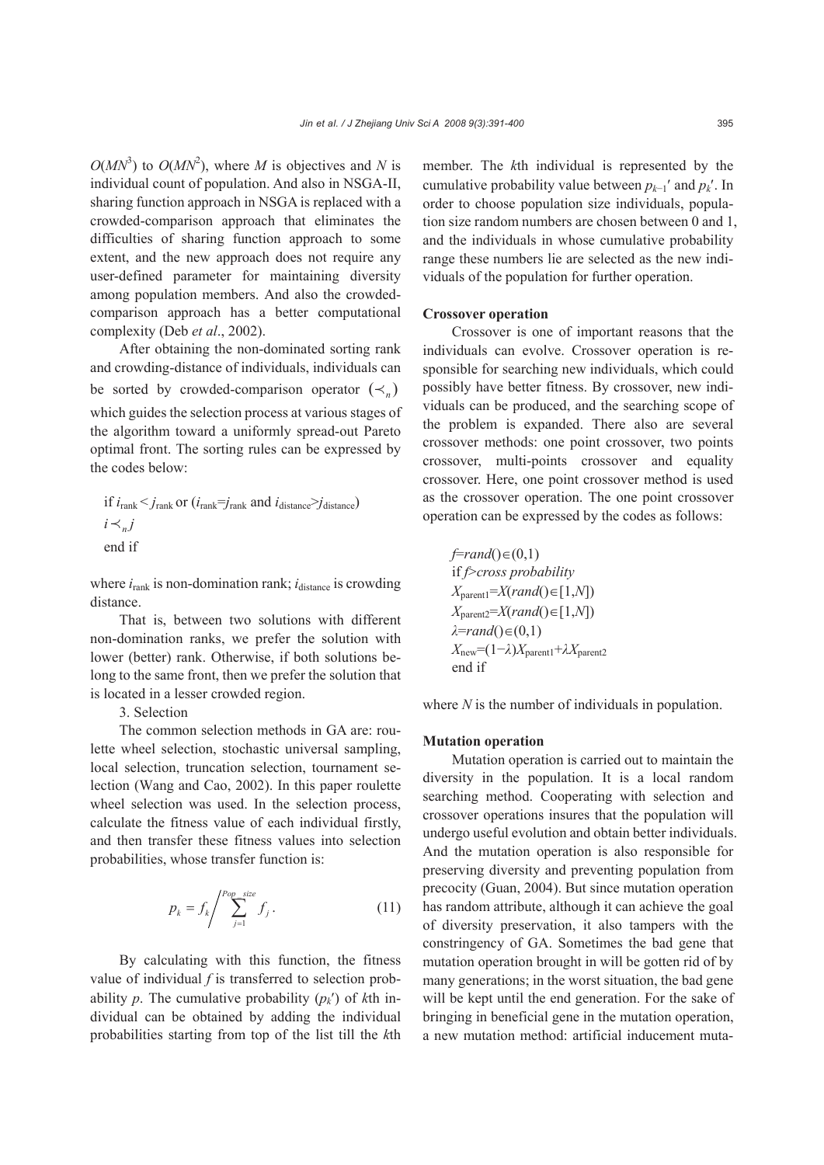$O(MN^3)$  to  $O(MN^2)$ , where *M* is objectives and *N* is individual count of population. And also in NSGA-II, sharing function approach in NSGA is replaced with a crowded-comparison approach that eliminates the difficulties of sharing function approach to some extent, and the new approach does not require any user-defined parameter for maintaining diversity among population members. And also the crowdedcomparison approach has a better computational complexity (Deb *et al*., 2002).

After obtaining the non-dominated sorting rank and crowding-distance of individuals, individuals can be sorted by crowded-comparison operator  $(\prec_n)$ which guides the selection process at various stages of the algorithm toward a uniformly spread-out Pareto optimal front. The sorting rules can be expressed by the codes below:

if 
$$
i_{\text{rank}} < j_{\text{rank}}
$$
 or  $(i_{\text{rank}} = j_{\text{rank}}$  and  $i_{\text{distance}} > j_{\text{distance}}$ )  
 $i \prec_{n} j$   
end if

where  $i_{\text{rank}}$  is non-domination rank;  $i_{\text{distance}}$  is crowding distance.

That is, between two solutions with different non-domination ranks, we prefer the solution with lower (better) rank. Otherwise, if both solutions belong to the same front, then we prefer the solution that is located in a lesser crowded region.

3. Selection

The common selection methods in GA are: roulette wheel selection, stochastic universal sampling, local selection, truncation selection, tournament selection (Wang and Cao, 2002). In this paper roulette wheel selection was used. In the selection process, calculate the fitness value of each individual firstly, and then transfer these fitness values into selection probabilities, whose transfer function is:

$$
p_k = f_k / \sum_{j=1}^{Pop\_size} f_j \,.
$$
 (11)

By calculating with this function, the fitness value of individual *f* is transferred to selection probability p. The cumulative probability  $(p_k)$  of kth individual can be obtained by adding the individual probabilities starting from top of the list till the *k*th member. The *k*th individual is represented by the cumulative probability value between  $p_{k-1}$ <sup>'</sup> and  $p_k$ <sup>'</sup>. In order to choose population size individuals, population size random numbers are chosen between 0 and 1, and the individuals in whose cumulative probability range these numbers lie are selected as the new individuals of the population for further operation.

## **Crossover operation**

Crossover is one of important reasons that the individuals can evolve. Crossover operation is responsible for searching new individuals, which could possibly have better fitness. By crossover, new individuals can be produced, and the searching scope of the problem is expanded. There also are several crossover methods: one point crossover, two points crossover, multi-points crossover and equality crossover. Here, one point crossover method is used as the crossover operation. The one point crossover operation can be expressed by the codes as follows:

$$
f=rand() \in (0,1)
$$
  
if  $f>cross probability$   
 $X_{parent1}=X(rand() \in [1,N])$   
 $X_{parent2}=X(rand() \in [1,N])$   
 $\lambda=rand() \in (0,1)$   
 $X_{new}=(1-\lambda)X_{parent1}+\lambda X_{parent2}$   
end if

where *N* is the number of individuals in population.

## **Mutation operation**

Mutation operation is carried out to maintain the diversity in the population. It is a local random searching method. Cooperating with selection and crossover operations insures that the population will undergo useful evolution and obtain better individuals. And the mutation operation is also responsible for preserving diversity and preventing population from precocity (Guan, 2004). But since mutation operation has random attribute, although it can achieve the goal of diversity preservation, it also tampers with the constringency of GA. Sometimes the bad gene that mutation operation brought in will be gotten rid of by many generations; in the worst situation, the bad gene will be kept until the end generation. For the sake of bringing in beneficial gene in the mutation operation, a new mutation method: artificial inducement muta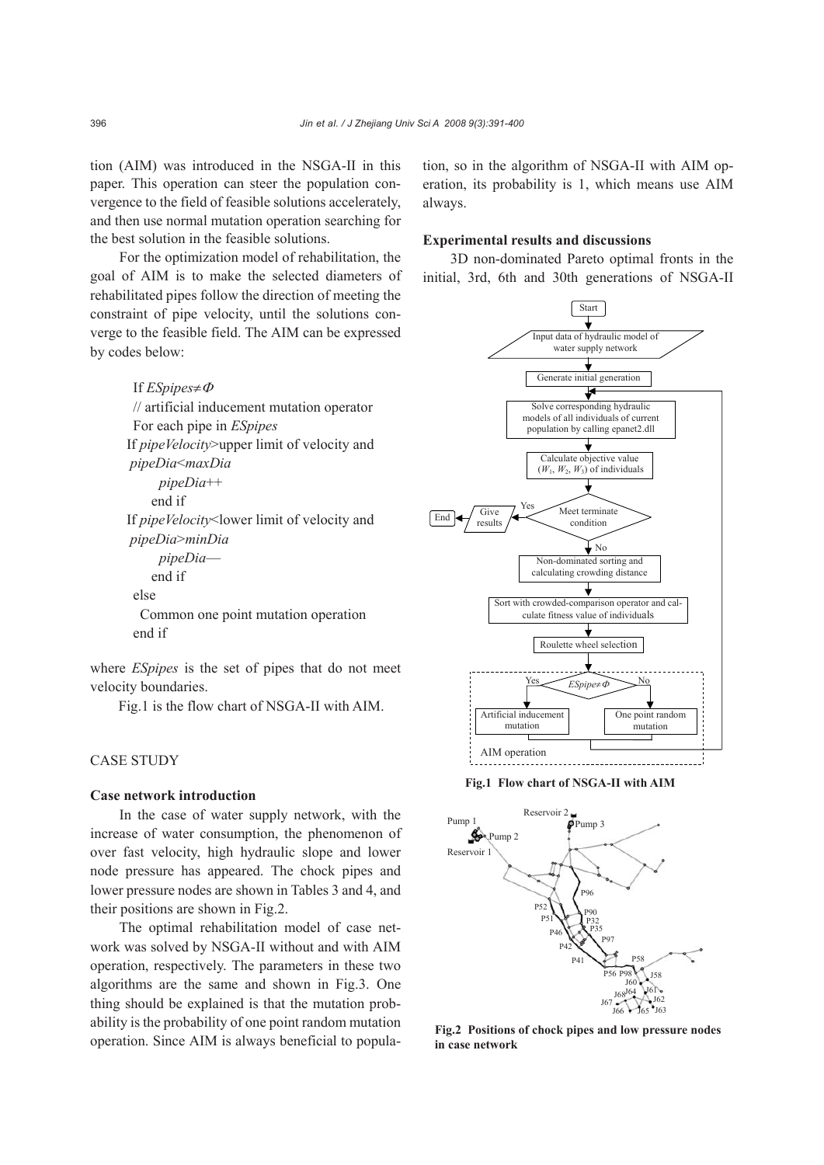tion (AIM) was introduced in the NSGA-II in this paper. This operation can steer the population convergence to the field of feasible solutions accelerately, and then use normal mutation operation searching for the best solution in the feasible solutions.

For the optimization model of rehabilitation, the goal of AIM is to make the selected diameters of rehabilitated pipes follow the direction of meeting the constraint of pipe velocity, until the solutions converge to the feasible field. The AIM can be expressed by codes below:

> If *ESpipes*≠<sup>Φ</sup> // artificial inducement mutation operator For each pipe in *ESpipes* If *pipeVelocity*>upper limit of velocity and *pipeDia*<*maxDia pipeDia*++ end if If *pipeVelocity*<lower limit of velocity and  *pipeDia*>*minDia pipeDia* end if else Common one point mutation operation end if

where *ESpipes* is the set of pipes that do not meet velocity boundaries.

Fig.1 is the flow chart of NSGA-II with AIM.

# CASE STUDY

## **Case network introduction**

In the case of water supply network, with the increase of water consumption, the phenomenon of over fast velocity, high hydraulic slope and lower node pressure has appeared. The chock pipes and lower pressure nodes are shown in Tables 3 and 4, and their positions are shown in Fig.2.

The optimal rehabilitation model of case network was solved by NSGA-II without and with AIM operation, respectively. The parameters in these two algorithms are the same and shown in Fig.3. One thing should be explained is that the mutation probability is the probability of one point random mutation operation. Since AIM is always beneficial to population, so in the algorithm of NSGA-II with AIM operation, its probability is 1, which means use AIM always.

## **Experimental results and discussions**

3D non-dominated Pareto optimal fronts in the initial, 3rd, 6th and 30th generations of NSGA-II



**Fig.1 Flow chart of NSGA-II with AIM**



**Fig.2 Positions of chock pipes and low pressure nodes in case network** 

396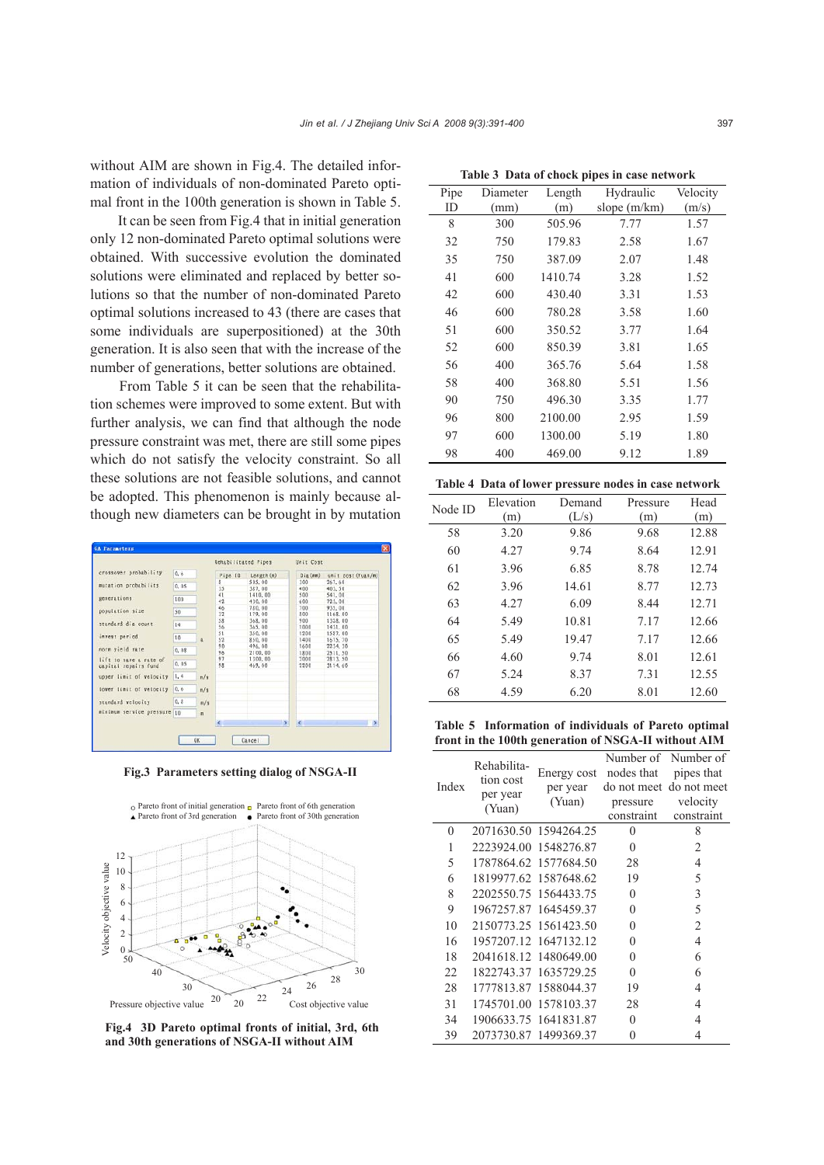without AIM are shown in Fig.4. The detailed information of individuals of non-dominated Pareto optimal front in the 100th generation is shown in Table 5.

It can be seen from Fig.4 that in initial generation only 12 non-dominated Pareto optimal solutions were obtained. With successive evolution the dominated solutions were eliminated and replaced by better solutions so that the number of non-dominated Pareto optimal solutions increased to 43 (there are cases that some individuals are superpositioned) at the 30th generation. It is also seen that with the increase of the number of generations, better solutions are obtained.

From Table 5 it can be seen that the rehabilitation schemes were improved to some extent. But with further analysis, we can find that although the node pressure constraint was met, there are still some pipes which do not satisfy the velocity constraint. So all these solutions are not feasible solutions, and cannot be adopted. This phenomenon is mainly because although new diameters can be brought in by mutation



**Fig.3 Parameters setting dialog of NSGA-II** 



**Fig.4 3D Pareto optimal fronts of initial, 3rd, 6th and 30th generations of NSGA-II without AIM** 

| Table 5 - Bata of chock pipes in case necwork |          |         |              |          |
|-----------------------------------------------|----------|---------|--------------|----------|
| Pipe                                          | Diameter | Length  | Hydraulic    | Velocity |
| ID                                            | (mm)     | (m)     | slope (m/km) | (m/s)    |
| 8                                             | 300      | 505.96  | 7.77         | 1.57     |
| 32                                            | 750      | 179.83  | 2.58         | 1.67     |
| 35                                            | 750      | 387.09  | 2.07         | 1.48     |
| 41                                            | 600      | 1410.74 | 3.28         | 1.52     |
| 42                                            | 600      | 430.40  | 3.31         | 1.53     |
| 46                                            | 600      | 780.28  | 3.58         | 1.60     |
| 51                                            | 600      | 350.52  | 3.77         | 1.64     |
| 52                                            | 600      | 850.39  | 3.81         | 1.65     |
| 56                                            | 400      | 365.76  | 5.64         | 1.58     |
| 58                                            | 400      | 368.80  | 5.51         | 1.56     |
| 90                                            | 750      | 496.30  | 3.35         | 1.77     |
| 96                                            | 800      | 2100.00 | 2.95         | 1.59     |
| 97                                            | 600      | 1300.00 | 5.19         | 1.80     |
| 98                                            | 400      | 469.00  | 9.12         | 1.89     |

**Table 3 Data of chock pipes in case network**

|         | Table 4 Data of lower pressure nodes in case network |        |          |      |
|---------|------------------------------------------------------|--------|----------|------|
| Node ID | Elevation                                            | Demand | Pressure | Head |
|         | (m)                                                  | (L/s)  | (m)      | (m)  |

| 1104011 | (m)  | (L/s) | (m)  | (m)   |
|---------|------|-------|------|-------|
| 58      | 3.20 | 9.86  | 9.68 | 12.88 |
| 60      | 4.27 | 9.74  | 8.64 | 12.91 |
| 61      | 3.96 | 6.85  | 8.78 | 12.74 |
| 62      | 3.96 | 14.61 | 8.77 | 12.73 |
| 63      | 4.27 | 6.09  | 8.44 | 12.71 |
| 64      | 5.49 | 10.81 | 7.17 | 12.66 |
| 65      | 5.49 | 19.47 | 7.17 | 12.66 |
| 66      | 4.60 | 9.74  | 8.01 | 12.61 |
| 67      | 5.24 | 8.37  | 7.31 | 12.55 |
| 68      | 4.59 | 6.20  | 8.01 | 12.60 |
|         |      |       |      |       |

**Table 5 Information of individuals of Pareto optimal front in the 100th generation of NSGA-II without AIM**

| Index | Rehabilita-<br>tion cost<br>per year<br>(Yuan) | Energy cost<br>per year<br>(Yuan) | Number of<br>nodes that<br>do not meet<br>pressure<br>constraint | Number of<br>pipes that<br>do not meet<br>velocity<br>constraint |
|-------|------------------------------------------------|-----------------------------------|------------------------------------------------------------------|------------------------------------------------------------------|
| 0     |                                                | 2071630.50 1594264.25             | 0                                                                | 8                                                                |
| 1     |                                                | 2223924.00 1548276.87             | $\theta$                                                         | 2                                                                |
| 5     |                                                | 1787864.62 1577684.50             | 28                                                               | 4                                                                |
| 6     |                                                | 1819977.62 1587648.62             | 19                                                               | 5                                                                |
| 8     |                                                | 2202550.75 1564433.75             | $\theta$                                                         | 3                                                                |
| 9     |                                                | 1967257.87 1645459.37             | $\theta$                                                         | 5                                                                |
| 10    |                                                | 2150773.25 1561423.50             | $\Omega$                                                         | $\overline{2}$                                                   |
| 16    |                                                | 1957207.12 1647132.12             | $\Omega$                                                         | $\overline{4}$                                                   |
| 18    |                                                | 2041618.12 1480649.00             | $\theta$                                                         | 6                                                                |
| 22    | 1822743.37                                     | 1635729.25                        | $\Omega$                                                         | 6                                                                |
| 28    |                                                | 1777813.87 1588044.37             | 19                                                               | 4                                                                |
| 31    | 1745701.00                                     | 1578103.37                        | 28                                                               | 4                                                                |
| 34    |                                                | 1906633.75 1641831.87             | $\theta$                                                         | 4                                                                |
| 39    | 2073730.87 1499369.37                          |                                   | 0                                                                | 4                                                                |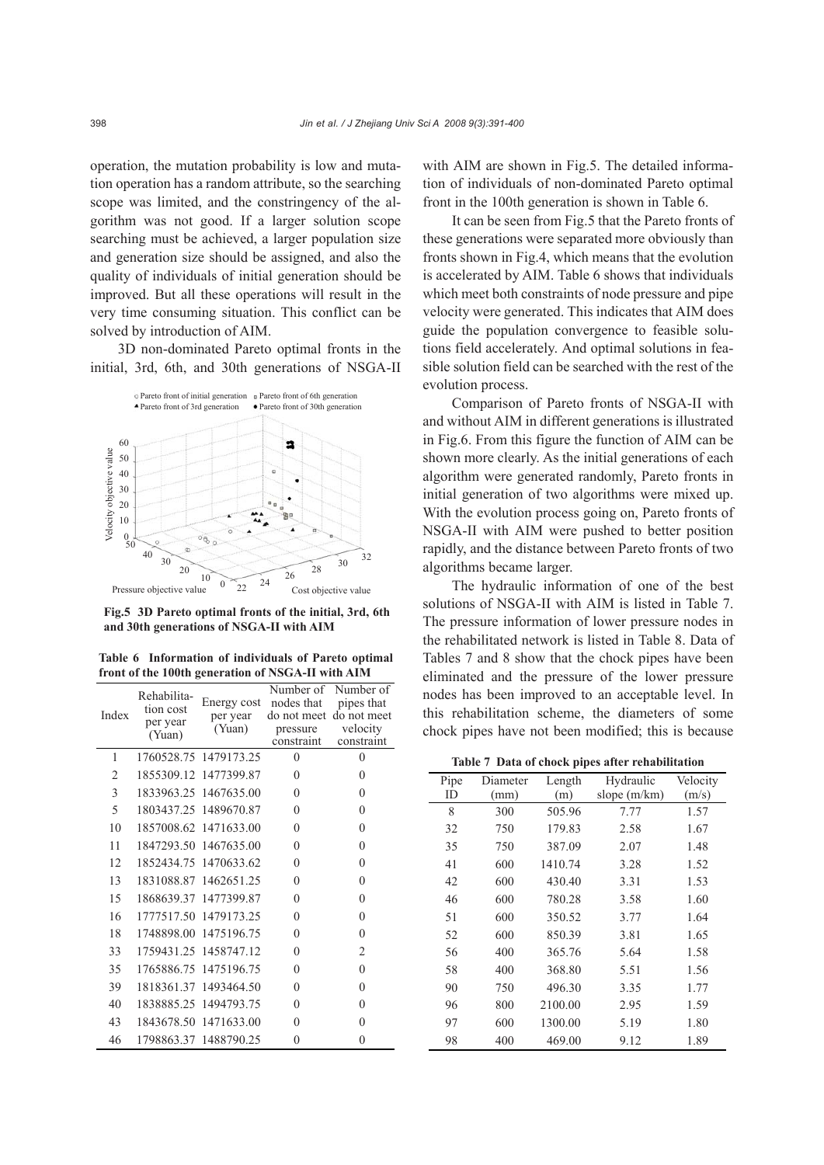operation, the mutation probability is low and mutation operation has a random attribute, so the searching scope was limited, and the constringency of the algorithm was not good. If a larger solution scope searching must be achieved, a larger population size and generation size should be assigned, and also the quality of individuals of initial generation should be improved. But all these operations will result in the very time consuming situation. This conflict can be solved by introduction of AIM.

3D non-dominated Pareto optimal fronts in the initial, 3rd, 6th, and 30th generations of NSGA-II



**Fig.5 3D Pareto optimal fronts of the initial, 3rd, 6th and 30th generations of NSGA-II with AIM**

**Table 6 Information of individuals of Pareto optimal front of the 100th generation of NSGA-II with AIM**

| Index          | Rehabilita-<br>tion cost<br>per year<br>(Yuan) | Energy cost<br>per year<br>(Yuan) | Number of<br>nodes that<br>pressure<br>constraint | Number of<br>pipes that<br>do not meet do not meet<br>velocity<br>constraint |
|----------------|------------------------------------------------|-----------------------------------|---------------------------------------------------|------------------------------------------------------------------------------|
| 1              |                                                | 1760528.75 1479173.25             | $\theta$                                          | $\theta$                                                                     |
| $\overline{2}$ |                                                | 1855309.12 1477399.87             | 0                                                 | $\theta$                                                                     |
| 3              |                                                | 1833963.25 1467635.00             | $\theta$                                          | $\theta$                                                                     |
| 5              |                                                | 1803437.25 1489670.87             | $\theta$                                          | $\mathbf{0}$                                                                 |
| 10             |                                                | 1857008.62 1471633.00             | $\theta$                                          | $\mathbf{0}$                                                                 |
| 11             |                                                | 1847293.50 1467635.00             | $\theta$                                          | $\theta$                                                                     |
| 12             |                                                | 1852434.75 1470633.62             | $\theta$                                          | $\theta$                                                                     |
| 13             |                                                | 1831088.87 1462651.25             | $\theta$                                          | $\theta$                                                                     |
| 15             | 1868639.37                                     | 1477399.87                        | $\theta$                                          | $\theta$                                                                     |
| 16             |                                                | 1777517.50 1479173.25             | $\theta$                                          | $\theta$                                                                     |
| 18             |                                                | 1748898.00 1475196.75             | $\theta$                                          | $\mathbf{0}$                                                                 |
| 33             |                                                | 1759431.25 1458747.12             | $\theta$                                          | $\overline{2}$                                                               |
| 35             |                                                | 1765886.75 1475196.75             | $\theta$                                          | $\theta$                                                                     |
| 39             | 1818361.37                                     | 1493464.50                        | $\theta$                                          | $\theta$                                                                     |
| 40             |                                                | 1838885.25 1494793.75             | $\theta$                                          | $\theta$                                                                     |
| 43             |                                                | 1843678.50 1471633.00             | $\Omega$                                          | $\theta$                                                                     |
| 46             |                                                | 1798863.37 1488790.25             | $\overline{0}$                                    | $\theta$                                                                     |

with AIM are shown in Fig.5. The detailed information of individuals of non-dominated Pareto optimal front in the 100th generation is shown in Table 6.

It can be seen from Fig.5 that the Pareto fronts of these generations were separated more obviously than fronts shown in Fig.4, which means that the evolution is accelerated by AIM. Table 6 shows that individuals which meet both constraints of node pressure and pipe velocity were generated. This indicates that AIM does guide the population convergence to feasible solutions field accelerately. And optimal solutions in feasible solution field can be searched with the rest of the evolution process.

Comparison of Pareto fronts of NSGA-II with and without AIM in different generations is illustrated in Fig.6. From this figure the function of AIM can be shown more clearly. As the initial generations of each algorithm were generated randomly, Pareto fronts in initial generation of two algorithms were mixed up. With the evolution process going on, Pareto fronts of NSGA-II with AIM were pushed to better position rapidly, and the distance between Pareto fronts of two algorithms became larger.

The hydraulic information of one of the best solutions of NSGA-II with AIM is listed in Table 7. The pressure information of lower pressure nodes in the rehabilitated network is listed in Table 8. Data of Tables 7 and 8 show that the chock pipes have been eliminated and the pressure of the lower pressure nodes has been improved to an acceptable level. In this rehabilitation scheme, the diameters of some chock pipes have not been modified; this is because

**Table 7 Data of chock pipes after rehabilitation**

| Pipe | Diameter | Length  | Hydraulic      | Velocity |
|------|----------|---------|----------------|----------|
| ID   | (mm)     | (m)     | slope $(m/km)$ | (m/s)    |
| 8    | 300      | 505.96  | 7.77           | 1.57     |
| 32   | 750      | 179.83  | 2.58           | 1.67     |
| 35   | 750      | 387.09  | 2.07           | 1.48     |
| 41   | 600      | 1410.74 | 3.28           | 1.52     |
| 42   | 600      | 430.40  | 3.31           | 1.53     |
| 46   | 600      | 780.28  | 3.58           | 1.60     |
| 51   | 600      | 350.52  | 3.77           | 1.64     |
| 52   | 600      | 850.39  | 3.81           | 1.65     |
| 56   | 400      | 365.76  | 5.64           | 1.58     |
| 58   | 400      | 368.80  | 5.51           | 1.56     |
| 90   | 750      | 496.30  | 3.35           | 1.77     |
| 96   | 800      | 2100.00 | 2.95           | 1.59     |
| 97   | 600      | 1300.00 | 5.19           | 1.80     |
| 98   | 400      | 469.00  | 9.12           | 1.89     |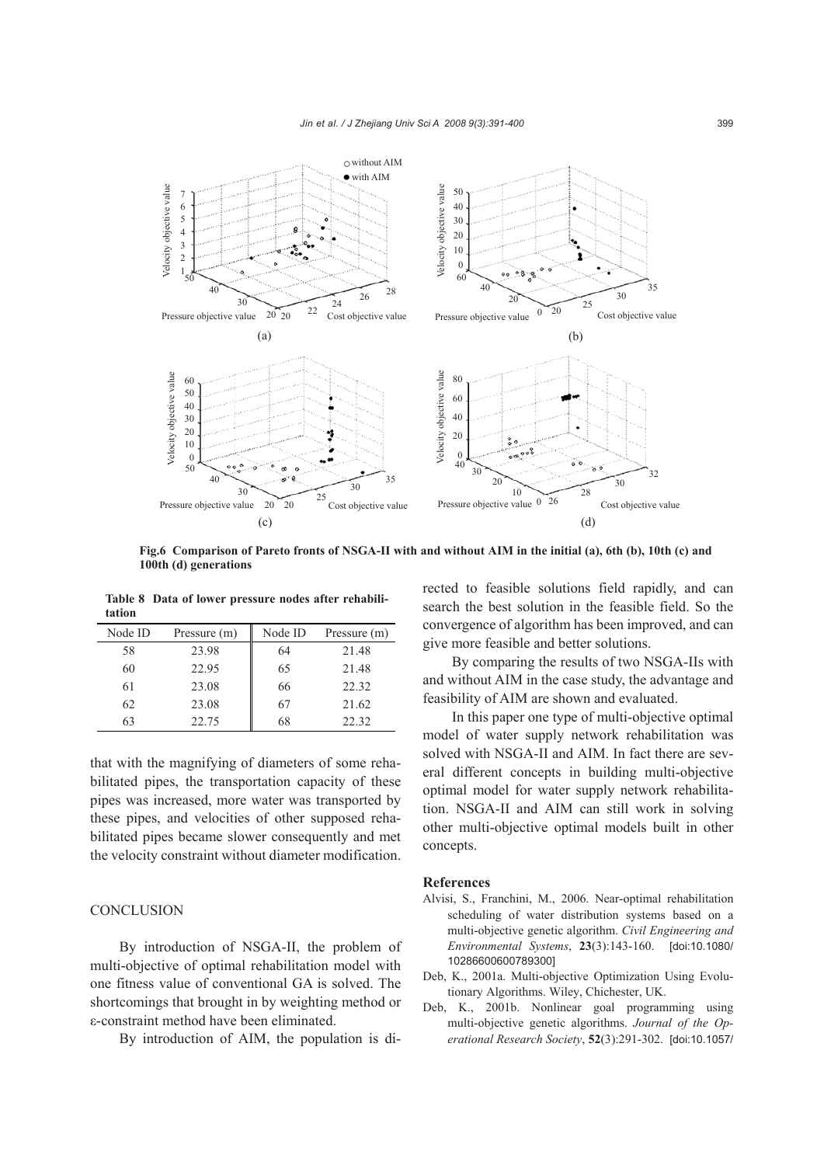

**Fig.6 Comparison of Pareto fronts of NSGA-II with and without AIM in the initial (a), 6th (b), 10th (c) and 100th (d) generations** 

**Table 8 Data of lower pressure nodes after rehabilitation**

| Node ID | Pressure (m) | Node ID | Pressure (m) |
|---------|--------------|---------|--------------|
| 58      | 23.98        | 64      | 21.48        |
| 60      | 22.95        | 65      | 21.48        |
| 61      | 23.08        | 66      | 22.32        |
| 62      | 23.08        | 67      | 21.62        |
| 63      | 22.75        | 68      | 22.32        |

that with the magnifying of diameters of some rehabilitated pipes, the transportation capacity of these pipes was increased, more water was transported by these pipes, and velocities of other supposed rehabilitated pipes became slower consequently and met the velocity constraint without diameter modification.

# **CONCLUSION**

By introduction of NSGA-II, the problem of multi-objective of optimal rehabilitation model with one fitness value of conventional GA is solved. The shortcomings that brought in by weighting method or ε-constraint method have been eliminated.

By introduction of AIM, the population is di-

rected to feasible solutions field rapidly, and can search the best solution in the feasible field. So the convergence of algorithm has been improved, and can give more feasible and better solutions.

By comparing the results of two NSGA-IIs with and without AIM in the case study, the advantage and feasibility of AIM are shown and evaluated.

In this paper one type of multi-objective optimal model of water supply network rehabilitation was solved with NSGA-II and AIM. In fact there are several different concepts in building multi-objective optimal model for water supply network rehabilitation. NSGA-II and AIM can still work in solving other multi-objective optimal models built in other concepts.

## **References**

- Alvisi, S., Franchini, M., 2006. Near-optimal rehabilitation scheduling of water distribution systems based on a multi-objective genetic algorithm. *Civil Engineering and Environmental Systems*, **23**(3):143-160. [doi:10.1080/ 10286600600789300]
- Deb, K., 2001a. Multi-objective Optimization Using Evolutionary Algorithms. Wiley, Chichester, UK.
- Deb, K., 2001b. Nonlinear goal programming using multi-objective genetic algorithms. *Journal of the Operational Research Society*, **52**(3):291-302. [doi:10.1057/